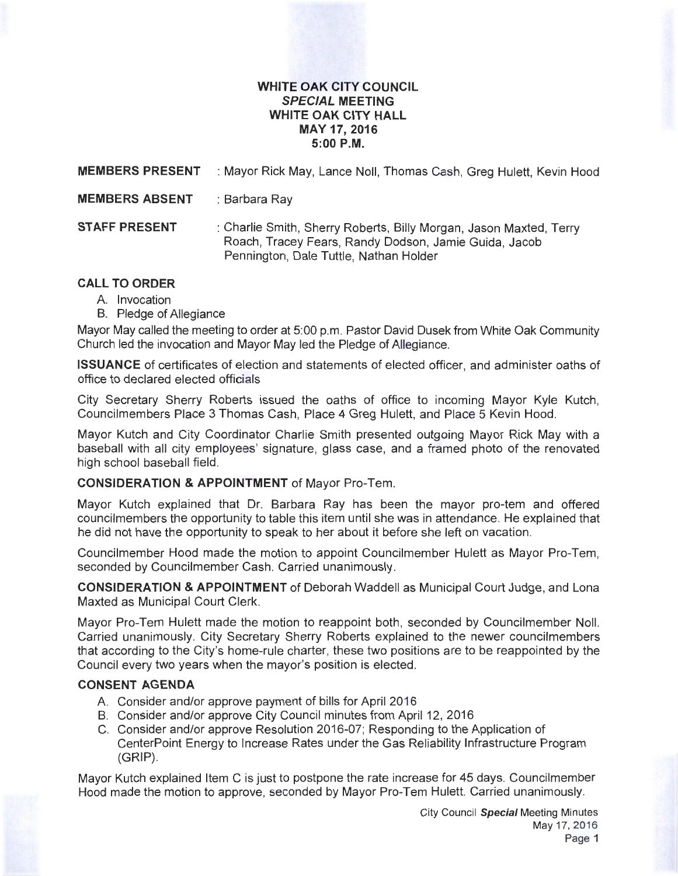### **WHITE OAK CITY COUNCIL SPECIAL MEETING WHITE OAK CITY HALL MAY 17, 2016 5:00P.M.**

**MEMBERS PRESENT** : Mayor Rick May, Lance Noll, Thomas Cash, Greg Hulett, Kevin Hood

**MEMBERS ABSENT** : Barbara Ray

**STAFF PRESENT** : Charlie Smith, Sherry Roberts, Billy Morgan, Jason Maxted, Terry Roach, Tracey Fears, Randy Dodson, Jamie Guida, Jacob Pennington, Dale Tuttle, Nathan Holder

# **CALL TO ORDER**

- A. Invocation
- B. Pledge of Allegiance

Mayor May called the meeting to order at 5:00 p.m. Pastor David Dusek from White Oak Community Church led the invocation and Mayor May led the Pledge of Allegiance.

**ISSUANCE** of certificates of election and statements of elected officer, and administer oaths of office to declared elected officials

City Secretary Sherry Roberts issued the oaths of office to incoming Mayor Kyle Kutch, Councilmembers Place 3 Thomas Cash, Place 4 Greg Hulett, and Place 5 Kevin Hood.

Mayor Kutch and City Coordinator Charlie Smith presented outgoing Mayor Rick May with a baseball with all city employees' signature, glass case, and a framed photo of the renovated high school baseball field.

# **CONSIDERATION & APPOINTMENT** of Mayor Pro-Tem.

Mayor Kutch explained that Dr. Barbara Ray has been the mayor pro-tem and offered council members the opportunity to table this item until she was in attendance. He explained that he did not have the opportunity to speak to her about it before she left on vacation.

Councilmember Hood made the motion to appoint Councilmember Hulett as Mayor Pro-Tem, seconded by Councilmember Cash. Carried unanimously.

**CONSIDERATION & APPOINTMENT** of Deborah Waddell as Municipal Court Judge, and Lona Maxted as Municipal Court Clerk.

Mayor Pro-Tem Hulett made the motion to reappoint both, seconded by Councilmember Noll. Carried unanimously. City Secretary Sherry Roberts explained to the newer councilmembers that according to the City's home-rule charter, these two positions are to be reappointed by the Council every two years when the mayor's position is elected.

# **CONSENT AGENDA**

- A. Consider and/or approve payment of bills for April 2016
- B. Consider and/or approve City Council minutes from April 12, 2016
- C. Consider and/or approve Resolution 2016-07; Responding to the Application of CenterPoint Energy to Increase Rates under the Gas Reliability Infrastructure Program (GRIP).

Mayor Kutch explained Item C is just to postpone the rate increase for 45 days. Councilmember Hood made the motion to approve, seconded by Mayor Pro-Tem Hulett. Carried unanimously.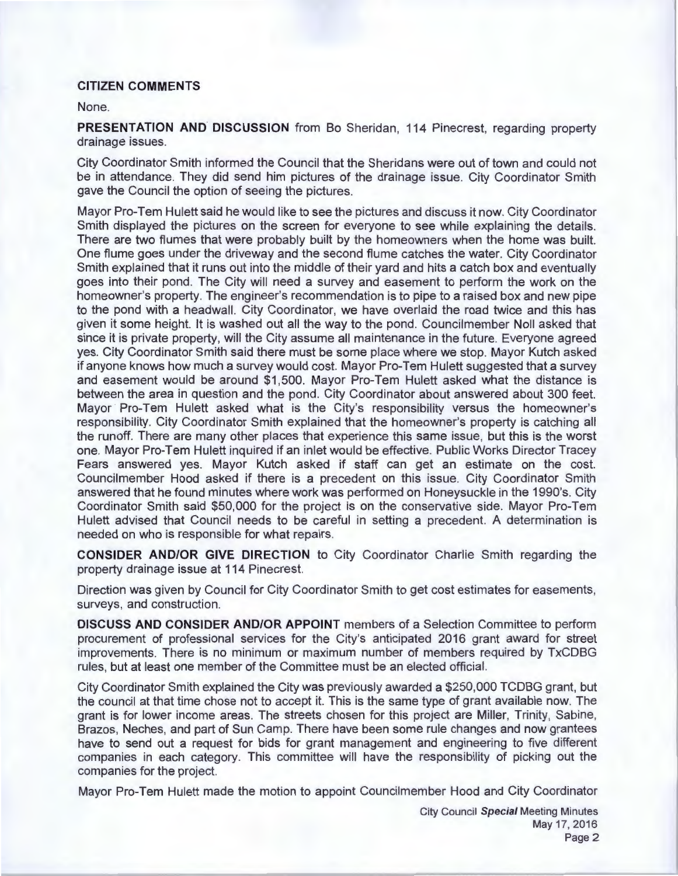### **CITIZEN COMMENTS**

#### None.

**PRESENTATION AND DISCUSSION** from Bo Sheridan, 114 Pinecrest, regarding property drainage issues.

City Coordinator Smith informed the Council that the Sheridans were out of town and could not be in attendance. They did send him pictures of the drainage issue. City Coordinator Smith gave the Council the option of seeing the pictures.

Mayor Pro-Tem Hulett said he would like to see the pictures and discuss it now. City Coordinator Smith displayed the pictures on the screen for everyone to see while explaining the details. There are two flumes that were probably built by the homeowners when the home was built. One flume goes under the driveway and the second flume catches the water. City Coordinator Smith explained that it runs out into the middle of their yard and hits a catch box and eventually goes into their pond. The City will need a survey and easement to perform the work on the homeowner's property. The engineer's recommendation is to pipe to a raised box and new pipe to the pond with a headwall. City Coordinator, we have overlaid the road twice and this has given it some height. It is washed out all the way to the pond. Councilmember Noll asked that since it is private property, will the City assume all maintenance in the future. Everyone agreed yes. City Coordinator Smith said there must be some place where we stop. Mayor Kutch asked if anyone knows how much a survey would cost. Mayor Pro-Tem Hulett suggested that a survey and easement would be around \$1 ,500. Mayor Pro-Tem Hulett asked what the distance is between the area in question and the pond. City Coordinator about answered about 300 feet. Mayor Pro-Tem Hulett asked what is the City's responsibility versus the homeowner's responsibility. City Coordinator Smith explained that the homeowner's property is catching all the runoff. There are many other places that experience this same issue, but this is the worst one. Mayor Pro-Tem Hulett inquired if an inlet would be effective. Public Works Director Tracey Fears answered yes. Mayor Kutch asked if staff can get an estimate on the cost. Councilmember Hood asked if there is a precedent on this issue. City Coordinator Smith answered that he found minutes where work was performed on Honeysuckle in the 1990's. City Coordinator Smith said \$50,000 for the project is on the conservative side. Mayor Pro-Tem Hulett advised that Council needs to be careful in setting a precedent. A determination is needed on who is responsible for what repairs.

**CONSIDER AND/OR GIVE DIRECTION** to City Coordinator Charlie Smith regarding the property drainage issue at 114 Pinecrest.

Direction was given by Council for City Coordinator Smith to get cost estimates for easements, surveys, and construction.

**DISCUSS AND CONSIDER AND/OR APPOINT** members of a Selection Committee to perform procurement of professional services for the City's anticipated 2016 grant award for street improvements. There is no minimum or maximum number of members required by TxCDBG rules, but at least one member of the Committee must be an elected official.

City Coordinator Smith explained the City was previously awarded a \$250,000 TCDBG grant, but the council at that time chose not to accept it. This is the same type of grant available now. The grant is for lower income areas. The streets chosen for this project are Miller, Trinity, Sabine, Brazos, Neches, and part of Sun Camp. There have been some rule changes and now grantees have to send out a request for bids for grant management and engineering to five different companies in each category. This committee will have the responsibility of picking out the companies for the project.

Mayor Pro-Tem Hulett made the motion to appoint Councilmember Hood and City Coordinator